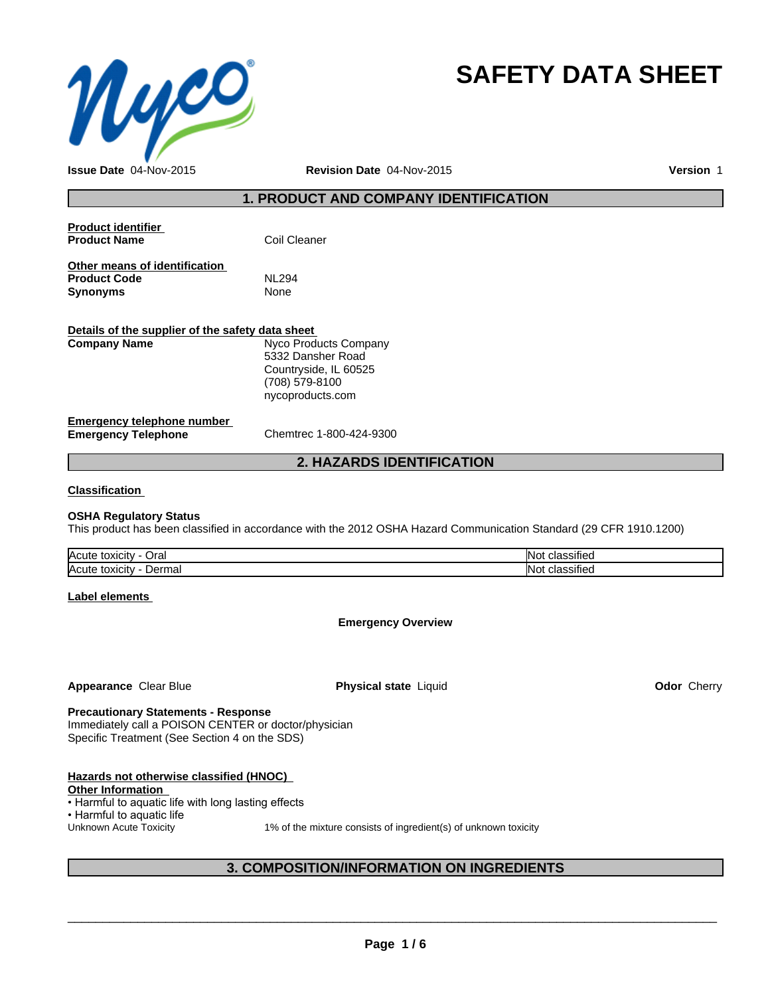

# **SAFETY DATA SHEET**

**Issue Date** 04-Nov-2015 **Revision Date** 04-Nov-2015 **Version** 1

# **1. PRODUCT AND COMPANY IDENTIFICATION**

| Coil Cleaner |
|--------------|
|              |

**Other means of identification Product Code** NL294<br> **Synonyms** None

| Details of the supplier of the safety data sheet |                       |  |  |
|--------------------------------------------------|-----------------------|--|--|
| Company Name                                     | Nyco Products Company |  |  |
|                                                  | 5332 Dansher Road     |  |  |
|                                                  | Countryside, IL 60525 |  |  |
|                                                  | (708) 579-8100        |  |  |
|                                                  | nycoproducts.com      |  |  |

#### **Emergency telephone number**<br> **Emergency Telephone**<br>
Chemtrec 1-800-424-9300 **Emergency Telephone**

# **2. HAZARDS IDENTIFICATION**

### **Classification**

**Synonyms** 

### **OSHA Regulatory Status**

This product has been classified in accordance with the 2012 OSHA Hazard Communication Standard (29 CFR 1910.1200)

| <b>Acute</b><br>Əral<br>toxicity                           | $\cdot$<br>IN٥<br>ה אוור<br>$\sim$ |
|------------------------------------------------------------|------------------------------------|
| Acute<br>toxicity<br>Dermar<br>$\sim$ $\sim$ $\sim$ $\sim$ | $\cdot$<br>IN C<br>51116<br>.      |

### **Label elements**

# **Emergency Overview**

**Appearance Clear Blue <b>Physical state** Liquid

**Odor** Cherry

# **Precautionary Statements - Response**

Immediately call a POISON CENTER or doctor/physician Specific Treatment (See Section 4 on the SDS)

| Hazards not otherwise classified (HNOC)             |                                                                 |
|-----------------------------------------------------|-----------------------------------------------------------------|
| <b>Other Information</b>                            |                                                                 |
| • Harmful to aquatic life with long lasting effects |                                                                 |
| • Harmful to aquatic life                           |                                                                 |
| Unknown Acute Toxicity                              | 1% of the mixture consists of ingredient(s) of unknown toxicity |
|                                                     |                                                                 |

# **3. COMPOSITION/INFORMATION ON INGREDIENTS**

 $\overline{\phantom{a}}$  ,  $\overline{\phantom{a}}$  ,  $\overline{\phantom{a}}$  ,  $\overline{\phantom{a}}$  ,  $\overline{\phantom{a}}$  ,  $\overline{\phantom{a}}$  ,  $\overline{\phantom{a}}$  ,  $\overline{\phantom{a}}$  ,  $\overline{\phantom{a}}$  ,  $\overline{\phantom{a}}$  ,  $\overline{\phantom{a}}$  ,  $\overline{\phantom{a}}$  ,  $\overline{\phantom{a}}$  ,  $\overline{\phantom{a}}$  ,  $\overline{\phantom{a}}$  ,  $\overline{\phantom{a}}$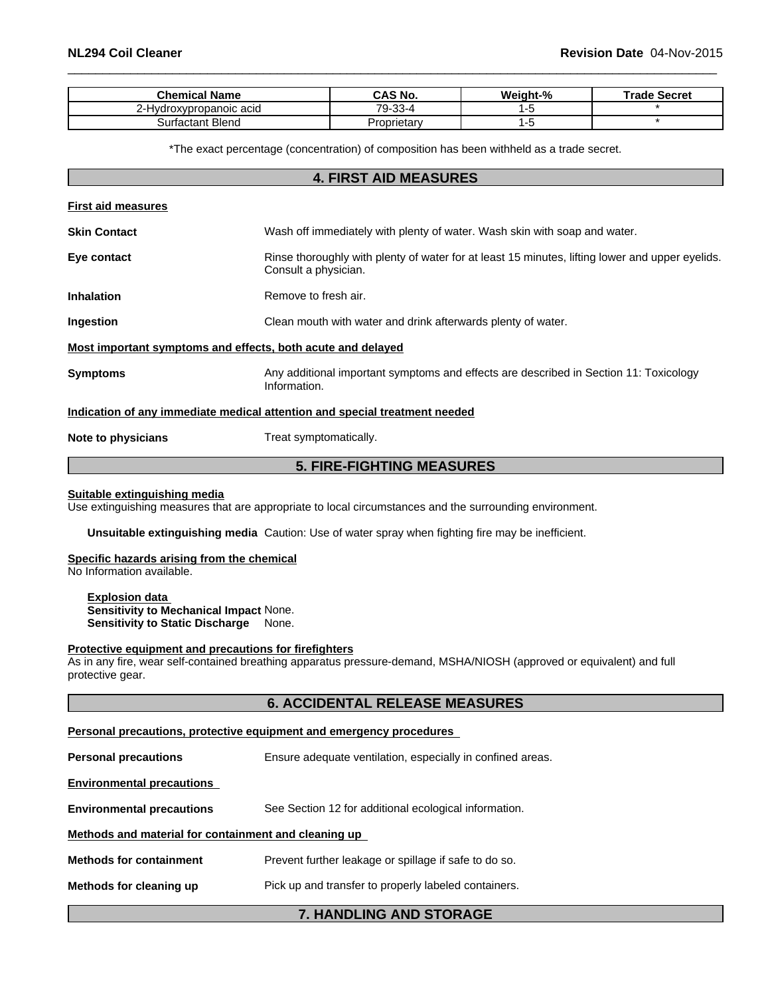| Chemical Name          | <b>CAS No.</b>          | Weight-% | Trade Secret |
|------------------------|-------------------------|----------|--------------|
| ·Hvdroxvpropanoic acid | ററ<br>⇁<br>- 3-4<br>.ں۔ |          |              |
| Surfactant Blend       | Proprietary             |          |              |

\*The exact percentage (concentration) of composition has been withheld as a trade secret.

| <b>4. FIRST AID MEASURES</b>                                                                                             |                                                                                                                         |  |  |  |
|--------------------------------------------------------------------------------------------------------------------------|-------------------------------------------------------------------------------------------------------------------------|--|--|--|
| <b>First aid measures</b>                                                                                                |                                                                                                                         |  |  |  |
| <b>Skin Contact</b>                                                                                                      | Wash off immediately with plenty of water. Wash skin with soap and water.                                               |  |  |  |
| Eye contact                                                                                                              | Rinse thoroughly with plenty of water for at least 15 minutes, lifting lower and upper eyelids.<br>Consult a physician. |  |  |  |
| <b>Inhalation</b>                                                                                                        | Remove to fresh air.                                                                                                    |  |  |  |
| Ingestion                                                                                                                | Clean mouth with water and drink afterwards plenty of water.                                                            |  |  |  |
|                                                                                                                          | Most important symptoms and effects, both acute and delayed                                                             |  |  |  |
| Any additional important symptoms and effects are described in Section 11: Toxicology<br><b>Symptoms</b><br>Information. |                                                                                                                         |  |  |  |
|                                                                                                                          | Indication of any immediate medical attention and special treatment needed                                              |  |  |  |
| Note to physicians                                                                                                       | Treat symptomatically.                                                                                                  |  |  |  |
|                                                                                                                          | <b>5. FIRE-FIGHTING MEASURES</b>                                                                                        |  |  |  |

#### **Suitable extinguishing media**

Use extinguishing measures that are appropriate to local circumstances and the surrounding environment.

**Unsuitable extinguishing media** Caution: Use of water spray when fighting fire may be inefficient.

# **Specific hazards arising from the chemical**

No Information available.

**Explosion data Sensitivity to Mechanical Impact** None. **Sensitivity to Static Discharge** None.

#### **Protective equipment and precautions for firefighters**

As in any fire, wear self-contained breathing apparatus pressure-demand, MSHA/NIOSH (approved or equivalent) and full protective gear.

| <b>6. ACCIDENTAL RELEASE MEASURES</b>                                                     |                                                            |  |  |  |  |
|-------------------------------------------------------------------------------------------|------------------------------------------------------------|--|--|--|--|
| Personal precautions, protective equipment and emergency procedures                       |                                                            |  |  |  |  |
| <b>Personal precautions</b>                                                               | Ensure adequate ventilation, especially in confined areas. |  |  |  |  |
| <b>Environmental precautions</b>                                                          |                                                            |  |  |  |  |
| See Section 12 for additional ecological information.<br><b>Environmental precautions</b> |                                                            |  |  |  |  |
| Methods and material for containment and cleaning up                                      |                                                            |  |  |  |  |
| Prevent further leakage or spillage if safe to do so.<br><b>Methods for containment</b>   |                                                            |  |  |  |  |
| Pick up and transfer to properly labeled containers.<br>Methods for cleaning up           |                                                            |  |  |  |  |
| <b>7. HANDLING AND STORAGE</b>                                                            |                                                            |  |  |  |  |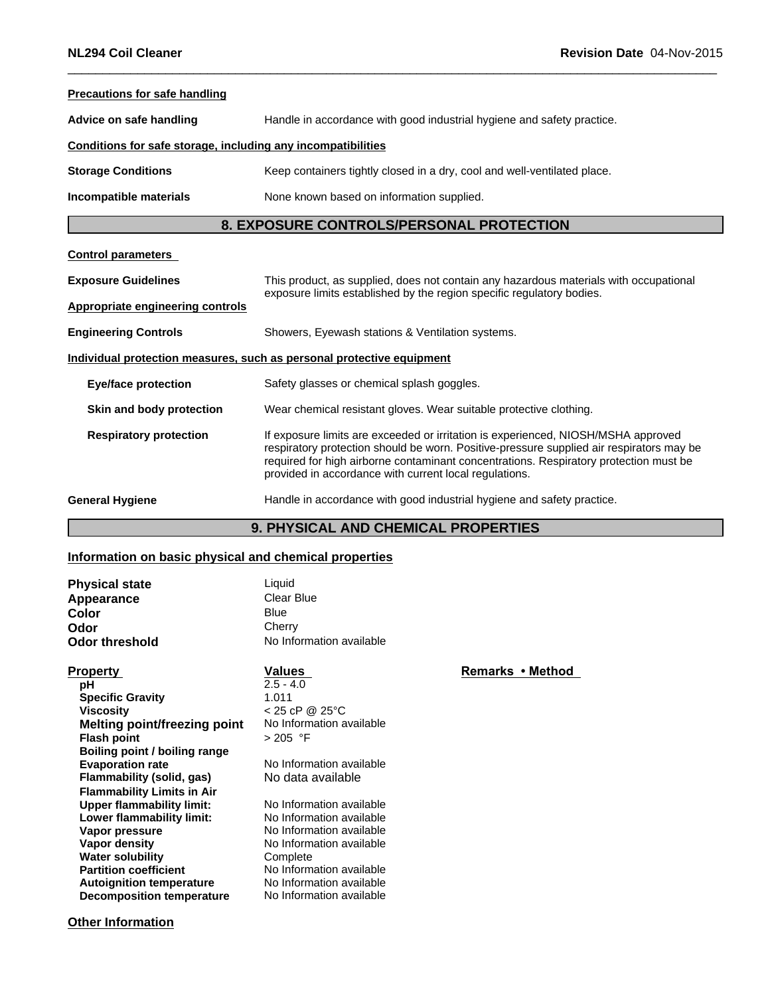| <b>Precautions for safe handling</b>                                                                  |                                                                                                                                                                                                                                                                                                                                  |  |  |
|-------------------------------------------------------------------------------------------------------|----------------------------------------------------------------------------------------------------------------------------------------------------------------------------------------------------------------------------------------------------------------------------------------------------------------------------------|--|--|
| Handle in accordance with good industrial hygiene and safety practice.<br>Advice on safe handling     |                                                                                                                                                                                                                                                                                                                                  |  |  |
| Conditions for safe storage, including any incompatibilities                                          |                                                                                                                                                                                                                                                                                                                                  |  |  |
| Keep containers tightly closed in a dry, cool and well-ventilated place.<br><b>Storage Conditions</b> |                                                                                                                                                                                                                                                                                                                                  |  |  |
| None known based on information supplied.<br>Incompatible materials                                   |                                                                                                                                                                                                                                                                                                                                  |  |  |
|                                                                                                       | 8. EXPOSURE CONTROLS/PERSONAL PROTECTION                                                                                                                                                                                                                                                                                         |  |  |
| <b>Control parameters</b>                                                                             |                                                                                                                                                                                                                                                                                                                                  |  |  |
| <b>Exposure Guidelines</b>                                                                            | This product, as supplied, does not contain any hazardous materials with occupational<br>exposure limits established by the region specific regulatory bodies.                                                                                                                                                                   |  |  |
| <b>Appropriate engineering controls</b>                                                               |                                                                                                                                                                                                                                                                                                                                  |  |  |
| <b>Engineering Controls</b><br>Showers, Eyewash stations & Ventilation systems.                       |                                                                                                                                                                                                                                                                                                                                  |  |  |
|                                                                                                       | Individual protection measures, such as personal protective equipment                                                                                                                                                                                                                                                            |  |  |
| <b>Eye/face protection</b>                                                                            | Safety glasses or chemical splash goggles.                                                                                                                                                                                                                                                                                       |  |  |
| Skin and body protection                                                                              | Wear chemical resistant gloves. Wear suitable protective clothing.                                                                                                                                                                                                                                                               |  |  |
| <b>Respiratory protection</b>                                                                         | If exposure limits are exceeded or irritation is experienced, NIOSH/MSHA approved<br>respiratory protection should be worn. Positive-pressure supplied air respirators may be<br>required for high airborne contaminant concentrations. Respiratory protection must be<br>provided in accordance with current local regulations. |  |  |
| <b>General Hygiene</b>                                                                                | Handle in accordance with good industrial hygiene and safety practice.                                                                                                                                                                                                                                                           |  |  |

# **9. PHYSICAL AND CHEMICAL PROPERTIES**

### **Information on basic physical and chemical properties**

| <b>Physical state</b> | Liquid                   |
|-----------------------|--------------------------|
| Appearance            | Clear Blue               |
| Color                 | Blue                     |
| Odor                  | Cherry                   |
| <b>Odor threshold</b> | No Information available |

**pH** 2.5 - 4.0<br> **Specific Gravity** 1.011 **Specific Gravity Viscosity**  $\leq$  25 cP @ 25°C<br>**Melting point/freezing point** No Information available **Melting point/freezing point** No Inform<br>**Flash point**  $>205$  °F **Flash point Boiling point / boiling range Flammability (solid, gas)** No data available **Flammability Limits in Air**<br> **Upper flammability limit:** No Information available **Upper flammability limit:** No Information available<br> **Lower flammability limit:** No Information available **Lower flammability limit:**<br>Vapor pressure **Vapor pressure** No Information available<br> **Vapor density** No Information available **Water solubility<br>Partition coefficient Autoignition temperature** No Information available **Decomposition temperature** No Information available

**Evaporation rate** No Information available

**No Information available**<br>Complete **No Information available** 

# **Property Remarks** • **Method Values Remarks** • **Method**

**Other Information**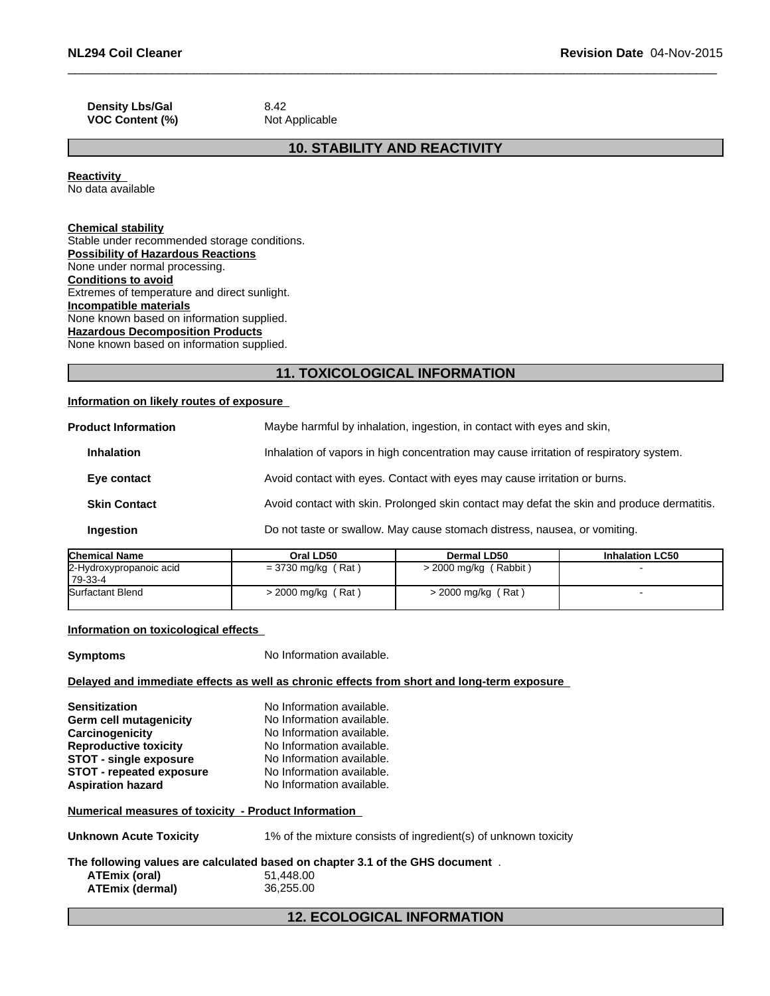**Density Lbs/Gal** 8.42 **VOC Content (%)** Not Applicable

# **10. STABILITY AND REACTIVITY**

**Reactivity** No data available

# **Chemical stability**

Stable under recommended storage conditions. **Possibility of Hazardous Reactions** None under normal processing. **Conditions to avoid** Extremes of temperature and direct sunlight. **Incompatible materials** None known based on information supplied. **Hazardous Decomposition Products** None known based on information supplied.

# **11. TOXICOLOGICAL INFORMATION**

### **Information on likely routes of exposure**

| <b>Product Information</b> |                     | Maybe harmful by inhalation, ingestion, in contact with eyes and skin,                     |
|----------------------------|---------------------|--------------------------------------------------------------------------------------------|
| <b>Inhalation</b>          |                     | Inhalation of vapors in high concentration may cause irritation of respiratory system.     |
|                            | Eye contact         | Avoid contact with eyes. Contact with eyes may cause irritation or burns.                  |
|                            | <b>Skin Contact</b> | Avoid contact with skin. Prolonged skin contact may defat the skin and produce dermatitis. |
| <b>Ingestion</b>           |                     | Do not taste or swallow. May cause stomach distress, nausea, or vomiting.                  |
|                            |                     |                                                                                            |

| <b>Chemical Name</b>                | Oral LD50            | Dermal LD50                | <b>Inhalation LC50</b> |
|-------------------------------------|----------------------|----------------------------|------------------------|
| 2-Hydroxypropanoic acid<br>179-33-4 | $= 3730$ mg/kg (Rat) | (Rabbit)<br>> 2000 mg/kg ( |                        |
| Surfactant Blend                    | > 2000 mg/kg (Rat)   | $>$ 2000 mg/kg (Rat)       |                        |

### **Information on toxicological effects**

**Symptoms** No Information available.

#### **Delayed and immediate effects as well as chronic effects from short and long-term exposure**

| <b>Sensitization</b>            | No Information available. |
|---------------------------------|---------------------------|
| Germ cell mutagenicity          | No Information available. |
| Carcinogenicity                 | No Information available. |
| <b>Reproductive toxicity</b>    | No Information available. |
| <b>STOT - single exposure</b>   | No Information available. |
| <b>STOT - repeated exposure</b> | No Information available. |
| <b>Aspiration hazard</b>        | No Information available. |

#### **Numerical measures of toxicity - Product Information**

**Unknown Acute Toxicity** 1% of the mixture consists of ingredient(s) of unknown toxicity

# **The following values are calculated based on chapter 3.1 of the GHS document** . **ATEmix (oral)** 51,448.00 **ATEmix (dermal)**36,255.00

# **12. ECOLOGICAL INFORMATION**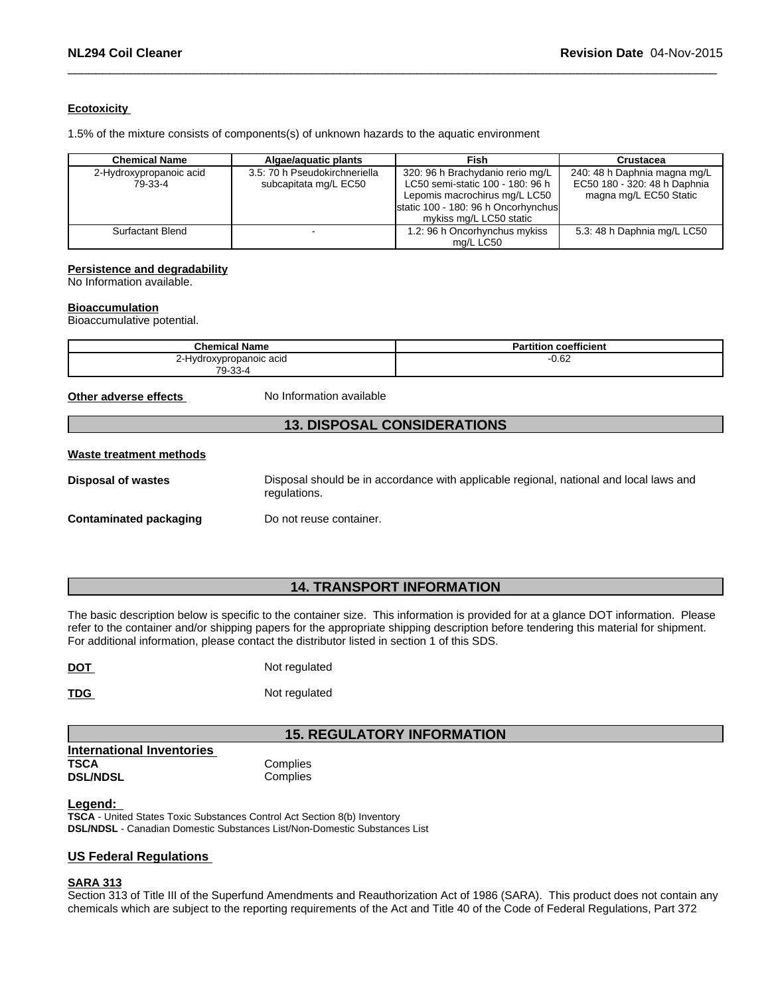# **Ecotoxicity**

1.5% of the mixture consists of components(s) of unknown hazards to the aquatic environment

| <b>Chemical Name</b>               | Algae/aguatic plants                                   | Fish                                                                                                                                                                                                                                                              | Crustacea                   |
|------------------------------------|--------------------------------------------------------|-------------------------------------------------------------------------------------------------------------------------------------------------------------------------------------------------------------------------------------------------------------------|-----------------------------|
| 2-Hydroxypropanoic acid<br>79-33-4 | 3.5: 70 h Pseudokirchneriella<br>subcapitata mg/L EC50 | 320: 96 h Brachydanio rerio mg/L<br>240: 48 h Daphnia magna mg/L<br>LC50 semi-static 100 - 180: 96 h<br>EC50 180 - 320: 48 h Daphnia<br>Lepomis macrochirus mg/L LC50<br>magna mg/L EC50 Static<br>static 100 - 180: 96 h Oncorhynchus<br>mykiss mg/L LC50 static |                             |
| Surfactant Blend                   |                                                        | 1.2: 96 h Oncorhynchus mykiss<br>ma/L LC50                                                                                                                                                                                                                        | 5.3: 48 h Daphnia mg/L LC50 |

#### **Persistence and degradability**

No Information available.

#### **Bioaccumulation**

Bioaccumulative potential.

| <b>Chemical Name</b>    | coefficient<br>Partition |
|-------------------------|--------------------------|
| 2-Hydroxypropanoic acid | $-0.62$                  |
| 79-33-4                 |                          |

**Other adverse effects** No Information available

# **13. DISPOSAL CONSIDERATIONS**

#### **Waste treatment methods**

| <b>Disposal of wastes</b>     | Disposal should be in accordance with applicable regional, national and local laws and<br>regulations. |  |
|-------------------------------|--------------------------------------------------------------------------------------------------------|--|
| <b>Contaminated packaging</b> | Do not reuse container.                                                                                |  |

# **14. TRANSPORT INFORMATION**

The basic description below is specific to the container size. This information is provided for at a glance DOT information. Please refer to the container and/or shipping papers for the appropriate shipping description before tendering this material for shipment. For additional information, please contact the distributor listed in section 1 of this SDS.

| <b>DOT</b> | Not regulated |  |
|------------|---------------|--|

**TDG** Not regulated

# **15. REGULATORY INFORMATION**

**International Inventories TSCA** Complies **DSL/NDSL** Complies

# **Legend:**

**TSCA** - United States Toxic Substances Control Act Section 8(b) Inventory **DSL/NDSL** - Canadian Domestic Substances List/Non-Domestic Substances List

# **US Federal Regulations**

### **SARA 313**

Section 313 of Title III of the Superfund Amendments and Reauthorization Act of 1986 (SARA). This product does not contain any chemicals which are subject to the reporting requirements of the Act and Title 40 of the Code of Federal Regulations, Part 372